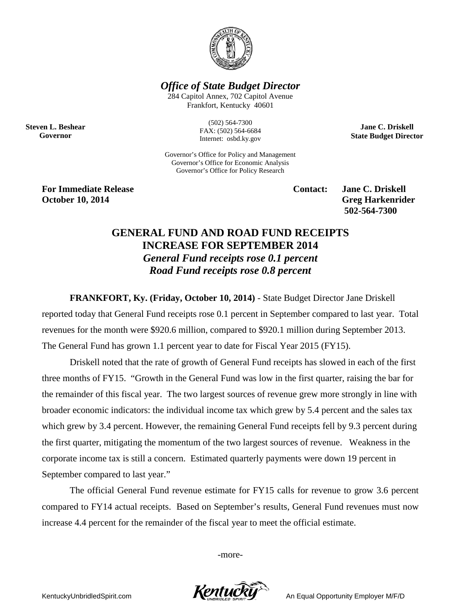

*Office of State Budget Director*

284 Capitol Annex, 702 Capitol Avenue Frankfort, Kentucky 40601

**Steven L. Beshear Governor**

(502) 564-7300 FAX: (502) 564-6684 Internet: osbd.ky.gov

Governor's Office for Policy and Management Governor's Office for Economic Analysis Governor's Office for Policy Research

**For Immediate Release Contact: Jane C. Driskell October 10, 2014** Greg Harkenrider

**502-564-7300** 

**Jane C. Driskell State Budget Director**

## **GENERAL FUND AND ROAD FUND RECEIPTS INCREASE FOR SEPTEMBER 2014** *General Fund receipts rose 0.1 percent Road Fund receipts rose 0.8 percent*

**FRANKFORT, Ky. (Friday, October 10, 2014)** - State Budget Director Jane Driskell reported today that General Fund receipts rose 0.1 percent in September compared to last year. Total revenues for the month were \$920.6 million, compared to \$920.1 million during September 2013. The General Fund has grown 1.1 percent year to date for Fiscal Year 2015 (FY15).

Driskell noted that the rate of growth of General Fund receipts has slowed in each of the first three months of FY15. "Growth in the General Fund was low in the first quarter, raising the bar for the remainder of this fiscal year. The two largest sources of revenue grew more strongly in line with broader economic indicators: the individual income tax which grew by 5.4 percent and the sales tax which grew by 3.4 percent. However, the remaining General Fund receipts fell by 9.3 percent during the first quarter, mitigating the momentum of the two largest sources of revenue. Weakness in the corporate income tax is still a concern. Estimated quarterly payments were down 19 percent in September compared to last year."

The official General Fund revenue estimate for FY15 calls for revenue to grow 3.6 percent compared to FY14 actual receipts. Based on September's results, General Fund revenues must now increase 4.4 percent for the remainder of the fiscal year to meet the official estimate.

-more-

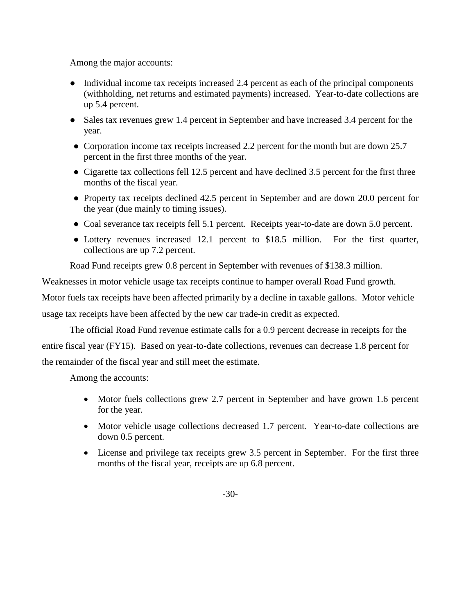Among the major accounts:

- Individual income tax receipts increased 2.4 percent as each of the principal components (withholding, net returns and estimated payments) increased. Year-to-date collections are up 5.4 percent.
- Sales tax revenues grew 1.4 percent in September and have increased 3.4 percent for the year.
- Corporation income tax receipts increased 2.2 percent for the month but are down 25.7 percent in the first three months of the year.
- Cigarette tax collections fell 12.5 percent and have declined 3.5 percent for the first three months of the fiscal year.
- Property tax receipts declined 42.5 percent in September and are down 20.0 percent for the year (due mainly to timing issues).
- Coal severance tax receipts fell 5.1 percent. Receipts year-to-date are down 5.0 percent.
- Lottery revenues increased 12.1 percent to \$18.5 million. For the first quarter, collections are up 7.2 percent.

Road Fund receipts grew 0.8 percent in September with revenues of \$138.3 million.

Weaknesses in motor vehicle usage tax receipts continue to hamper overall Road Fund growth.

Motor fuels tax receipts have been affected primarily by a decline in taxable gallons. Motor vehicle usage tax receipts have been affected by the new car trade-in credit as expected.

The official Road Fund revenue estimate calls for a 0.9 percent decrease in receipts for the entire fiscal year (FY15). Based on year-to-date collections, revenues can decrease 1.8 percent for the remainder of the fiscal year and still meet the estimate.

Among the accounts:

- Motor fuels collections grew 2.7 percent in September and have grown 1.6 percent for the year.
- Motor vehicle usage collections decreased 1.7 percent. Year-to-date collections are down 0.5 percent.
- License and privilege tax receipts grew 3.5 percent in September. For the first three months of the fiscal year, receipts are up 6.8 percent.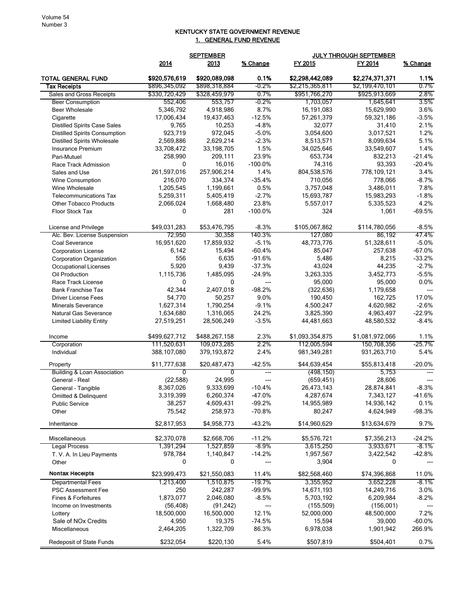## KENTUCKY STATE GOVERNMENT REVENUE 1. GENERAL FUND REVENUE

|                                                       |                                | <b>SEPTEMBER</b>               |                  | <b>JULY THROUGH SEPTEMBER</b>      |                                    |                  |
|-------------------------------------------------------|--------------------------------|--------------------------------|------------------|------------------------------------|------------------------------------|------------------|
|                                                       | 2014                           | 2013                           | % Change         | FY 2015                            | FY 2014                            | % Change         |
| <b>TOTAL GENERAL FUND</b><br><b>Tax Receipts</b>      | \$920,576,619<br>\$896,345,092 | \$920,089,098<br>\$898,318,884 | 0.1%<br>$-0.2\%$ | \$2,298,442,089<br>\$2,215,365,811 | \$2,274,371,371<br>\$2,199,470,101 | 1.1%<br>0.7%     |
| Sales and Gross Receipts                              | \$330,720,429                  | \$328,459,979                  | 0.7%             | \$951,766,270                      | \$925,913,669                      | 2.8%             |
| <b>Beer Consumption</b>                               | 552,406                        | 553,757                        | -0.2%            | 1,703,057                          | 1,645,641                          | 3.5%             |
| <b>Beer Wholesale</b>                                 | 5,346,792                      | 4,918,986                      | 8.7%             | 16,191,083                         | 15,629,990                         | 3.6%             |
| Cigarette                                             | 17,006,434                     | 19,437,463                     | $-12.5%$         | 57,261,379                         | 59,321,186                         | $-3.5%$          |
| <b>Distilled Spirits Case Sales</b>                   | 9,765                          | 10,253                         | $-4.8%$          | 32,077                             | 31,410                             | 2.1%             |
| <b>Distilled Spirits Consumption</b>                  | 923,719                        | 972,045                        | $-5.0%$          | 3,054,600                          | 3,017,521                          | 1.2%             |
| <b>Distilled Spirits Wholesale</b>                    | 2,569,886                      | 2,629,214                      | $-2.3%$          | 8,513,571                          | 8,099,634                          | 5.1%             |
| Insurance Premium                                     | 33,708,472                     | 33,198,705                     | 1.5%             | 34,025,646                         | 33,549,607                         | 1.4%             |
| Pari-Mutuel                                           | 258,990                        | 209,111                        | 23.9%            | 653,734                            | 832,213                            | $-21.4%$         |
| Race Track Admission                                  | 0                              | 16.016                         | $-100.0%$        | 74,316                             | 93,393                             | $-20.4%$         |
| Sales and Use                                         | 261,597,016                    | 257,906,214                    | 1.4%             | 804,538,576                        | 778,109,121                        | 3.4%             |
| Wine Consumption                                      | 216,070                        | 334,374                        | $-35.4%$         | 710,056                            | 778,066                            | $-8.7%$          |
| Wine Wholesale                                        | 1,205,545                      | 1,199,661                      | 0.5%             | 3,757,048                          | 3,486,011                          | 7.8%             |
| <b>Telecommunications Tax</b>                         | 5,259,311                      | 5,405,419                      | $-2.7%$          | 15,693,787                         | 15,983,293                         | $-1.8%$          |
| <b>Other Tobacco Products</b>                         | 2,066,024                      | 1,668,480                      | 23.8%            | 5,557,017                          | 5,335,523                          | 4.2%             |
| Floor Stock Tax                                       | 0                              | 281                            | $-100.0%$        | 324                                | 1,061                              | -69.5%           |
|                                                       | \$49,031,283                   | \$53,476,795                   | $-8.3%$          | \$105,067,862                      | \$114,780,056                      | $-8.5%$          |
| License and Privilege<br>Alc. Bev. License Suspension | 72,950                         | 30,358                         | 140.3%           | 127,080                            | 86,192                             | 47.4%            |
| Coal Severance                                        | 16,951,620                     | 17,859,932                     | $-5.1%$          | 48,773,776                         | 51,328,611                         | $-5.0%$          |
| <b>Corporation License</b>                            | 6,142                          | 15,494                         | $-60.4%$         | 85,047                             | 257,638                            | $-67.0%$         |
| Corporation Organization                              | 556                            | 6,635                          | $-91.6%$         | 5,486                              | 8,215                              | $-33.2%$         |
| <b>Occupational Licenses</b>                          | 5,920                          | 9,439                          | $-37.3%$         | 43,024                             | 44,235                             | $-2.7%$          |
| Oil Production                                        | 1,115,736                      | 1,485,095                      | $-24.9%$         | 3,263,335                          | 3,452,773                          | $-5.5%$          |
| Race Track License                                    | 0                              | 0                              | ---              | 95,000                             | 95,000                             | 0.0%             |
| <b>Bank Franchise Tax</b>                             | 42,344                         | 2,407,018                      | $-98.2%$         | (322, 636)                         | 1,179,658                          |                  |
| <b>Driver License Fees</b>                            | 54,770                         | 50,257                         | 9.0%             | 190,450                            | 162,725                            | 17.0%            |
| <b>Minerals Severance</b>                             | 1,627,314                      | 1,790,254                      | $-9.1%$          | 4,500,247                          | 4,620,982                          | $-2.6%$          |
| Natural Gas Severance                                 | 1,634,680                      | 1,316,065                      | 24.2%            | 3,825,390                          | 4,963,497                          | $-22.9%$         |
| <b>Limited Liability Entity</b>                       | 27,519,251                     | 28,506,249                     | $-3.5%$          | 44,481,663                         | 48,580,532                         | $-8.4%$          |
|                                                       |                                |                                |                  |                                    |                                    |                  |
| Income                                                | \$499,627,712                  | \$488,267,158                  | 2.3%             | \$1,093,354,875                    | \$1,081,972,066                    | 1.1%             |
| Corporation                                           | 111,520,631                    | 109,073,285                    | 2.2%             | 112,005,594                        | 150,708,356                        | $-25.7%$<br>5.4% |
| Individual                                            | 388,107,080                    | 379,193,872                    | 2.4%             | 981,349,281                        | 931,263,710                        |                  |
| Property                                              | \$11,777,638                   | \$20,487,473                   | $-42.5%$         | \$44,639,454                       | \$55,813,418                       | $-20.0%$         |
| <b>Building &amp; Loan Association</b>                | $\overline{0}$                 | $\overline{0}$                 | ---              | (498, 150)                         | 5,753                              | ---              |
| General - Real                                        | (22, 588)                      | 24,995                         | $\overline{a}$   | (659, 451)                         | 28,606                             | $---$            |
| General - Tangible                                    | 8,367,026                      | 9,333,699                      | $-10.4%$         | 26,473,143                         | 28,874,841                         | $-8.3%$          |
| Omitted & Delinquent                                  | 3,319,399                      | 6,260,374                      | $-47.0%$         | 4,287,674                          | 7,343,127                          | $-41.6%$         |
| <b>Public Service</b>                                 | 38,257                         | 4,609,431<br>258,973           | $-99.2%$         | 14,955,989                         | 14,936,142                         | 0.1%             |
| Other                                                 | 75,542                         |                                | $-70.8%$         | 80,247                             | 4,624,949                          | -98.3%           |
| Inheritance                                           | \$2,817,953                    | \$4,958,773                    | $-43.2%$         | \$14,960,629                       | \$13,634,679                       | 9.7%             |
| Miscellaneous                                         | \$2,370,078                    | \$2,668,706                    | $-11.2%$         | \$5,576,721                        | \$7,356,213                        | $-24.2%$         |
| <b>Legal Process</b>                                  | 1,391,294                      | 1,527,859                      | -8.9%            | 3,615,250                          | 3,933,671                          | -8.1%            |
| T. V. A. In Lieu Payments                             | 978,784                        | 1,140,847                      | $-14.2%$         | 1,957,567                          | 3,422,542                          | -42.8%           |
| Other                                                 | 0                              | 0                              | ---              | 3,904                              | 0                                  |                  |
| <b>Nontax Receipts</b>                                | \$23,999,473                   | \$21,550,083                   | 11.4%            | \$82,568,460                       | \$74,396,868                       | 11.0%            |
| <b>Departmental Fees</b>                              | 1,213,400                      | 1,510,875                      | $-19.7%$         | 3,355,952                          | 3,652,228                          | $-8.1\%$         |
| <b>PSC Assessment Fee</b>                             | 250                            | 242,287                        | $-99.9%$         | 14,671,193                         | 14,249,716                         | 3.0%             |
| Fines & Forfeitures                                   | 1,873,077                      | 2,046,080                      | $-8.5%$          | 5,703,192                          | 6,209,984                          | $-8.2%$          |
| Income on Investments                                 | (56, 408)                      | (91, 242)                      | ---              | (155, 509)                         | (156,001)                          |                  |
| Lottery                                               | 18,500,000                     | 16,500,000                     | 12.1%            | 52,000,000                         | 48,500,000                         | 7.2%             |
| Sale of NO <sub>x</sub> Credits                       | 4,950                          | 19,375                         | $-74.5%$         | 15,594                             | 39,000                             | $-60.0%$         |
| Miscellaneous                                         | 2,464,205                      | 1,322,709                      | 86.3%            | 6,978,038                          | 1,901,942                          | 266.9%           |
| <b>Redeposit of State Funds</b>                       | \$232,054                      | \$220,130                      | 5.4%             | \$507,819                          | \$504,401                          | 0.7%             |